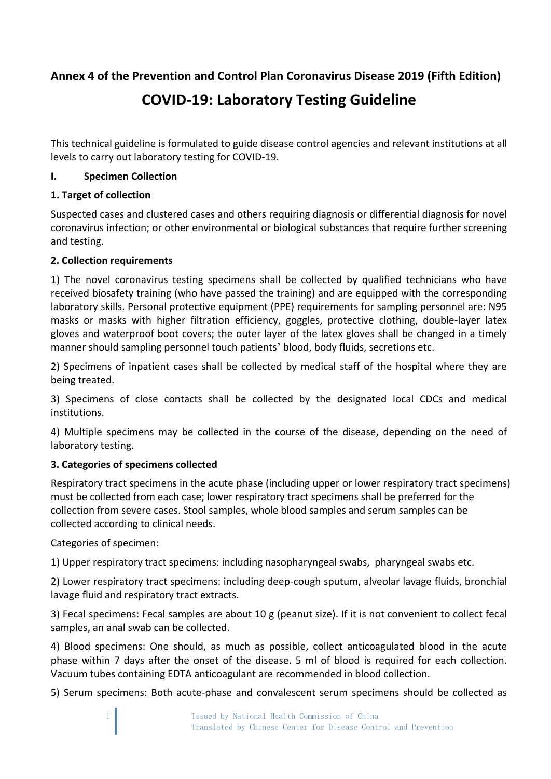**Annex 4 of the Prevention and Control Plan Coronavirus Disease 2019 (Fifth Edition)**

# **COVID-19: Laboratory Testing Guideline**

This technical guideline is formulated to guide disease control agencies and relevant institutions at all levels to carry out laboratory testing for COVID-19.

## **I. Specimen Collection**

## **1. Target of collection**

Suspected cases and clustered cases and others requiring diagnosis or differential diagnosis for novel coronavirus infection; or other environmental or biological substances that require further screening and testing.

## **2. Collection requirements**

1) The novel coronavirus testing specimens shall be collected by qualified technicians who have received biosafety training (who have passed the training) and are equipped with the corresponding laboratory skills. Personal protective equipment (PPE) requirements for sampling personnel are: N95 masks or masks with higher filtration efficiency, goggles, protective clothing, double-layer latex gloves and waterproof boot covers; the outer layer of the latex gloves shall be changed in a timely manner should sampling personnel touch patients' blood, body fluids, secretions etc.

2) Specimens of inpatient cases shall be collected by medical staff of the hospital where they are being treated.

3) Specimens of close contacts shall be collected by the designated local CDCs and medical institutions.

4) Multiple specimens may be collected in the course of the disease, depending on the need of laboratory testing.

## **3. Categories of specimens collected**

Respiratory tract specimens in the acute phase (including upper or lower respiratory tract specimens) must be collected from each case; lower respiratory tract specimens shall be preferred for the collection from severe cases. Stool samples, whole blood samples and serum samples can be collected according to clinical needs.

Categories of specimen:

1) Upper respiratory tract specimens: including nasopharyngeal swabs, pharyngeal swabs etc.

2) Lower respiratory tract specimens: including deep-cough sputum, alveolar lavage fluids, bronchial lavage fluid and respiratory tract extracts.

3) Fecal specimens: Fecal samples are about 10 g (peanut size). If it is not convenient to collect fecal samples, an anal swab can be collected.

4) Blood specimens: One should, as much as possible, collect anticoagulated blood in the acute phase within 7 days after the onset of the disease. 5 ml of blood is required for each collection. Vacuum tubes containing EDTA anticoagulant are recommended in blood collection.

5) Serum specimens: Both acute-phase and convalescent serum specimens should be collected as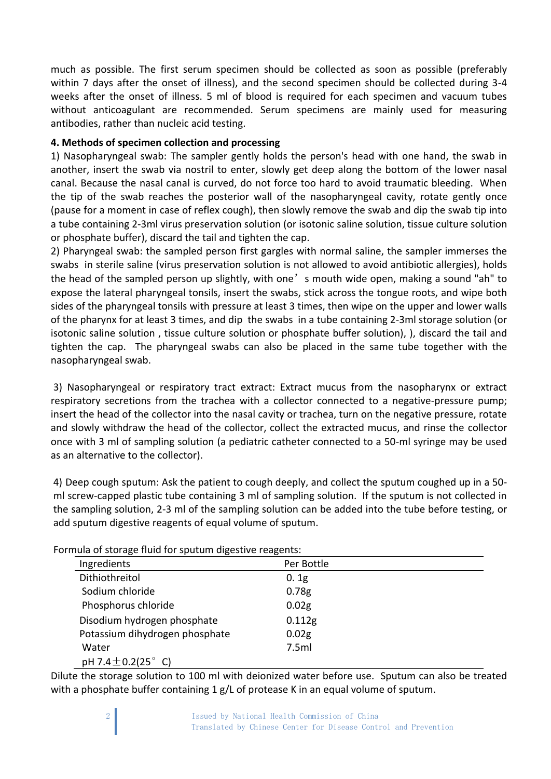much as possible. The first serum specimen should be collected as soon as possible (preferably within 7 days after the onset of illness), and the second specimen should be collected during 3-4 weeks after the onset of illness. 5 ml of blood is required for each specimen and vacuum tubes without anticoagulant are recommended. Serum specimens are mainly used for measuring antibodies, rather than nucleic acid testing.

### **4. Methods of specimen collection and processing**

1) Nasopharyngeal swab: The sampler gently holds the person's head with one hand, the swab in another, insert the swab via nostril to enter, slowly get deep along the bottom of the lower nasal canal. Because the nasal canal is curved, do not force too hard to avoid traumatic bleeding. When the tip of the swab reaches the posterior wall of the nasopharyngeal cavity, rotate gently once (pause for a moment in case of reflex cough), then slowly remove the swab and dip the swab tip into a tube containing 2-3ml virus preservation solution (or isotonic saline solution, tissue culture solution or phosphate buffer), discard the tail and tighten the cap.

2) Pharyngeal swab: the sampled person first gargles with normal saline, the sampler immerses the swabs in sterile saline (virus preservation solution is not allowed to avoid antibiotic allergies), holds the head of the sampled person up slightly, with one's mouth wide open, making a sound "ah" to expose the lateral pharyngeal tonsils, insert the swabs, stick across the tongue roots, and wipe both sides of the pharyngeal tonsils with pressure at least 3 times, then wipe on the upper and lower walls of the pharynx for at least 3 times, and dip the swabs in a tube containing 2-3ml storage solution (or isotonic saline solution , tissue culture solution or phosphate buffer solution), ), discard the tail and tighten the cap. The pharyngeal swabs can also be placed in the same tube together with the nasopharyngeal swab.

3) Nasopharyngeal or respiratory tract extract: Extract mucus from the nasopharynx or extract respiratory secretions from the trachea with a collector connected to a negative-pressure pump; insert the head of the collector into the nasal cavity or trachea, turn on the negative pressure, rotate and slowly withdraw the head of the collector, collect the extracted mucus, and rinse the collector once with 3 ml of sampling solution (a pediatric catheter connected to a 50-ml syringe may be used as an alternative to the collector).

4) Deep cough sputum: Ask the patient to cough deeply, and collect the sputum coughed up in a 50 ml screw-capped plastic tube containing 3 ml of sampling solution. If the sputum is not collected in the sampling solution, 2-3 ml of the sampling solution can be added into the tube before testing, or add sputum digestive reagents of equal volume of sputum.

| ormaia or storage maia for spatam aigestric reagents. |                   |
|-------------------------------------------------------|-------------------|
| Ingredients                                           | Per Bottle        |
| Dithiothreitol                                        | 0.1g              |
| Sodium chloride                                       | 0.78 <sub>g</sub> |
| Phosphorus chloride                                   | 0.02 <sub>g</sub> |
| Disodium hydrogen phosphate                           | 0.112g            |
| Potassium dihydrogen phosphate                        | 0.02 <sub>g</sub> |
| Water                                                 | 7.5ml             |
| pH 7.4 $\pm$ 0.2(25 $^{\circ}$ C)                     |                   |

Formula of storage fluid for sputum digestive reagents:

Dilute the storage solution to 100 ml with deionized water before use. Sputum can also be treated with a phosphate buffer containing 1 g/L of protease K in an equal volume of sputum.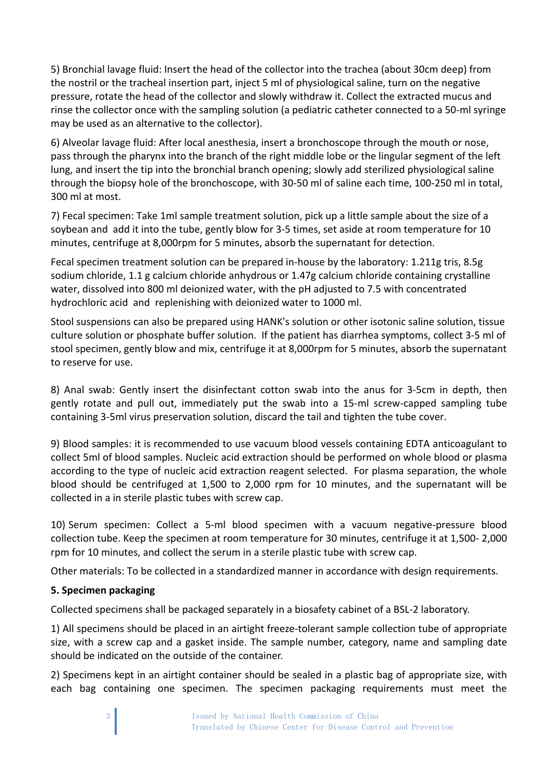5) Bronchial lavage fluid: Insert the head of the collector into the trachea (about 30cm deep) from the nostril or the tracheal insertion part, inject 5 ml of physiological saline, turn on the negative pressure, rotate the head of the collector and slowly withdraw it. Collect the extracted mucus and rinse the collector once with the sampling solution (a pediatric catheter connected to a 50-ml syringe may be used as an alternative to the collector).

6) Alveolar lavage fluid: After local anesthesia, insert a bronchoscope through the mouth or nose, pass through the pharynx into the branch of the right middle lobe or the lingular segment of the left lung, and insert the tip into the bronchial branch opening; slowly add sterilized physiological saline through the biopsy hole of the bronchoscope, with 30-50 ml of saline each time, 100-250 ml in total, 300 ml at most.

7) Fecal specimen: Take 1ml sample treatment solution, pick up a little sample about the size of a soybean and add it into the tube, gently blow for 3-5 times, set aside at room temperature for 10 minutes, centrifuge at 8,000rpm for 5 minutes, absorb the supernatant for detection.

Fecal specimen treatment solution can be prepared in-house by the laboratory: 1.211g tris, 8.5g sodium chloride, 1.1 g calcium chloride anhydrous or 1.47g calcium chloride containing crystalline water, dissolved into 800 ml deionized water, with the pH adjusted to 7.5 with concentrated hydrochloric acid and replenishing with deionized water to 1000 ml.

Stool suspensions can also be prepared using HANK's solution or other isotonic saline solution, tissue culture solution or phosphate buffer solution. If the patient has diarrhea symptoms, collect 3-5 ml of stool specimen, gently blow and mix, centrifuge it at 8,000rpm for 5 minutes, absorb the supernatant to reserve for use.

8) Anal swab: Gently insert the disinfectant cotton swab into the anus for 3-5cm in depth, then gently rotate and pull out, immediately put the swab into a 15-ml screw-capped sampling tube containing 3-5ml virus preservation solution, discard the tail and tighten the tube cover.

9) Blood samples: it is recommended to use vacuum blood vessels containing EDTA anticoagulant to collect 5ml of blood samples. Nucleic acid extraction should be performed on whole blood or plasma according to the type of nucleic acid extraction reagent selected. For plasma separation, the whole blood should be centrifuged at 1,500 to 2,000 rpm for 10 minutes, and the supernatant will be collected in a in sterile plastic tubes with screw cap.

10) Serum specimen: Collect a 5-ml blood specimen with a vacuum negative-pressure blood collection tube. Keep the specimen at room temperature for 30 minutes, centrifuge it at 1,500- 2,000 rpm for 10 minutes, and collect the serum in a sterile plastic tube with screw cap.

Other materials: To be collected in a standardized manner in accordance with design requirements.

## **5. Specimen packaging**

Collected specimens shall be packaged separately in a biosafety cabinet of a BSL-2 laboratory.

1) All specimens should be placed in an airtight freeze-tolerant sample collection tube of appropriate size, with a screw cap and a gasket inside. The sample number, category, name and sampling date should be indicated on the outside of the container.

2) Specimens kept in an airtight container should be sealed in a plastic bag of appropriate size, with each bag containing one specimen. The specimen packaging requirements must meet the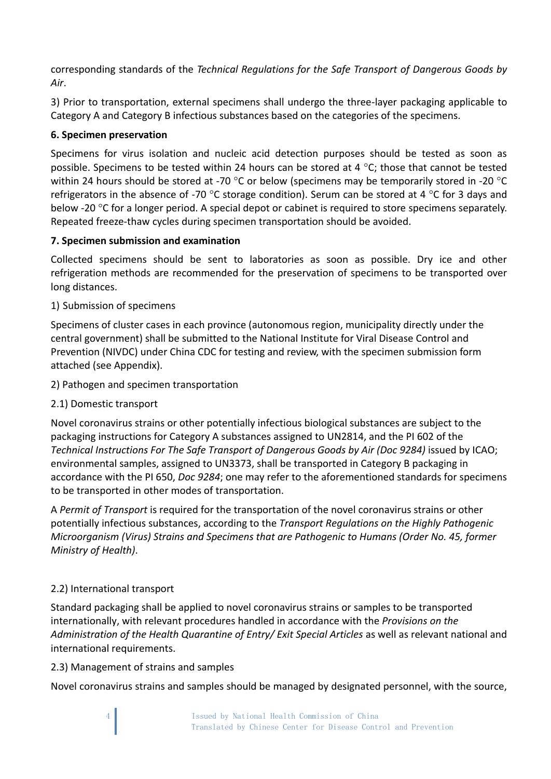corresponding standards of the *Technical Regulations for the Safe Transport of Dangerous Goods by Air*.

3) Prior to transportation, external specimens shall undergo the three-layer packaging applicable to Category A and Category B infectious substances based on the categories of the specimens.

## **6. Specimen preservation**

Specimens for virus isolation and nucleic acid detection purposes should be tested as soon as possible. Specimens to be tested within 24 hours can be stored at 4  $\degree$ C; those that cannot be tested within 24 hours should be stored at -70 °C or below (specimens may be temporarily stored in -20 °C refrigerators in the absence of -70 °C storage condition). Serum can be stored at 4 °C for 3 days and below -20 °C for a longer period. A special depot or cabinet is required to store specimens separately. Repeated freeze-thaw cycles during specimen transportation should be avoided.

## **7. Specimen submission and examination**

Collected specimens should be sent to laboratories as soon as possible. Dry ice and other refrigeration methods are recommended for the preservation of specimens to be transported over long distances.

## 1) Submission of specimens

Specimens of cluster cases in each province (autonomous region, municipality directly under the central government) shall be submitted to the National Institute for Viral Disease Control and Prevention (NIVDC) under China CDC for testing and review, with the specimen submission form attached (see Appendix).

2) Pathogen and specimen transportation

2.1) Domestic transport

Novel coronavirus strains or other potentially infectious biological substances are subject to the packaging instructions for Category A substances assigned to UN2814, and the PI 602 of the *Technical Instructions For The Safe Transport of Dangerous Goods by Air (Doc 9284)* issued by ICAO; environmental samples, assigned to UN3373, shall be transported in Category B packaging in accordance with the PI 650, *Doc 9284*; one may refer to the aforementioned standards for specimens to be transported in other modes of transportation.

A *Permit of Transport* is required for the transportation of the novel coronavirus strains or other potentially infectious substances, according to the *Transport Regulations on the Highly Pathogenic Microorganism (Virus) Strains and Specimens that are Pathogenic to Humans (Order No. 45, former Ministry of Health)*.

## 2.2) International transport

Standard packaging shall be applied to novel coronavirus strains or samples to be transported internationally, with relevant procedures handled in accordance with the *Provisions on the Administration of the Health Quarantine of Entry/ Exit Special Articles* as well as relevant national and international requirements.

## 2.3) Management of strains and samples

Novel coronavirus strains and samples should be managed by designated personnel, with the source,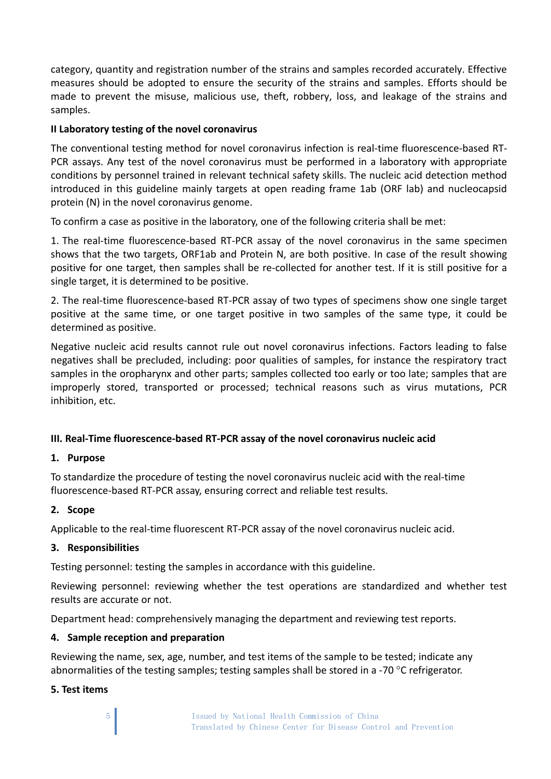category, quantity and registration number of the strains and samples recorded accurately. Effective measures should be adopted to ensure the security of the strains and samples. Efforts should be made to prevent the misuse, malicious use, theft, robbery, loss, and leakage of the strains and samples.

#### **II Laboratory testing of the novel coronavirus**

The conventional testing method for novel coronavirus infection is real-time fluorescence-based RT-PCR assays. Any test of the novel coronavirus must be performed in a laboratory with appropriate conditions by personnel trained in relevant technical safety skills. The nucleic acid detection method introduced in this guideline mainly targets at open reading frame 1ab (ORF lab) and nucleocapsid protein (N) in the novel coronavirus genome.

To confirm a case as positive in the laboratory, one of the following criteria shall be met:

1. The real-time fluorescence-based RT-PCR assay of the novel coronavirus in the same specimen shows that the two targets, ORF1ab and Protein N, are both positive. In case of the result showing positive for one target, then samples shall be re-collected for another test. If it is still positive for a single target, it is determined to be positive.

2. The real-time fluorescence-based RT-PCR assay of two types of specimens show one single target positive at the same time, or one target positive in two samples of the same type, it could be determined as positive.

Negative nucleic acid results cannot rule out novel coronavirus infections. Factors leading to false negatives shall be precluded, including: poor qualities of samples, for instance the respiratory tract samples in the oropharynx and other parts; samples collected too early or too late; samples that are improperly stored, transported or processed; technical reasons such as virus mutations, PCR inhibition, etc.

## **III. Real-Time fluorescence-based RT-PCR assay of the novel coronavirus nucleic acid**

#### **1. Purpose**

To standardize the procedure of testing the novel coronavirus nucleic acid with the real-time fluorescence-based RT-PCR assay, ensuring correct and reliable test results.

#### **2. Scope**

Applicable to the real-time fluorescent RT-PCR assay of the novel coronavirus nucleic acid.

#### **3. Responsibilities**

Testing personnel: testing the samples in accordance with this guideline.

Reviewing personnel: reviewing whether the test operations are standardized and whether test results are accurate or not.

Department head: comprehensively managing the department and reviewing test reports.

#### **4. Sample reception and preparation**

Reviewing the name, sex, age, number, and test items of the sample to be tested; indicate any abnormalities of the testing samples; testing samples shall be stored in a -70 °C refrigerator.

#### **5. Test items**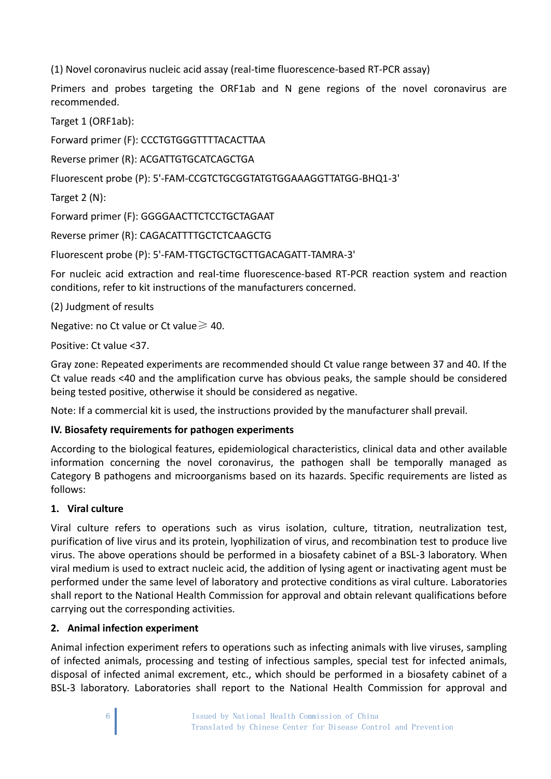(1) Novel coronavirus nucleic acid assay (real-time fluorescence-based RT-PCR assay)

Primers and probes targeting the ORF1ab and N gene regions of the novel coronavirus are recommended.

Target 1 (ORF1ab):

Forward primer (F): CCCTGTGGGTTTTACACTTAA

Reverse primer (R): ACGATTGTGCATCAGCTGA

Fluorescent probe (P): 5'-FAM-CCGTCTGCGGTATGTGGAAAGGTTATGG-BHQ1-3'

Target 2 (N):

Forward primer (F): GGGGAACTTCTCCTGCTAGAAT

Reverse primer (R): CAGACATTTTGCTCTCAAGCTG

Fluorescent probe (P): 5'-FAM-TTGCTGCTGCTTGACAGATT-TAMRA-3'

For nucleic acid extraction and real-time fluorescence-based RT-PCR reaction system and reaction conditions, refer to kit instructions of the manufacturers concerned.

(2) Judgment of results

Negative: no Ct value or Ct value $\geq 40$ .

Positive: Ct value <37.

Gray zone: Repeated experiments are recommended should Ct value range between 37 and 40. If the Ct value reads <40 and the amplification curve has obvious peaks, the sample should be considered being tested positive, otherwise it should be considered as negative.

Note: If a commercial kit is used, the instructions provided by the manufacturer shall prevail.

## **IV. Biosafety requirements for pathogen experiments**

According to the biological features, epidemiological characteristics, clinical data and other available information concerning the novel coronavirus, the pathogen shall be temporally managed as Category B pathogens and microorganisms based on its hazards. Specific requirements are listed as follows:

## **1. Viral culture**

Viral culture refers to operations such as virus isolation, culture, titration, neutralization test, purification of live virus and its protein, lyophilization of virus, and recombination test to produce live virus. The above operations should be performed in a biosafety cabinet of a BSL-3 laboratory. When viral medium is used to extract nucleic acid, the addition of lysing agent or inactivating agent must be performed under the same level of laboratory and protective conditions as viral culture. Laboratories shall report to the National Health Commission for approval and obtain relevant qualifications before carrying out the corresponding activities.

## **2. Animal infection experiment**

Animal infection experiment refers to operations such as infecting animals with live viruses, sampling of infected animals, processing and testing of infectious samples, special test for infected animals, disposal of infected animal excrement, etc., which should be performed in a biosafety cabinet of a BSL-3 laboratory. Laboratories shall report to the National Health Commission for approval and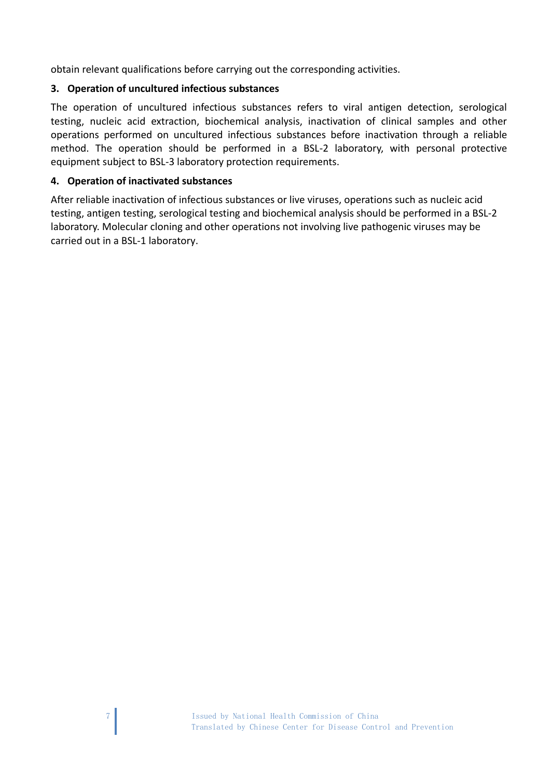obtain relevant qualifications before carrying out the corresponding activities.

## **3. Operation of uncultured infectious substances**

The operation of uncultured infectious substances refers to viral antigen detection, serological testing, nucleic acid extraction, biochemical analysis, inactivation of clinical samples and other operations performed on uncultured infectious substances before inactivation through a reliable method. The operation should be performed in a BSL-2 laboratory, with personal protective equipment subject to BSL-3 laboratory protection requirements.

## **4. Operation of inactivated substances**

After reliable inactivation of infectious substances or live viruses, operations such as nucleic acid testing, antigen testing, serological testing and biochemical analysis should be performed in a BSL-2 laboratory. Molecular cloning and other operations not involving live pathogenic viruses may be carried out in a BSL-1 laboratory.